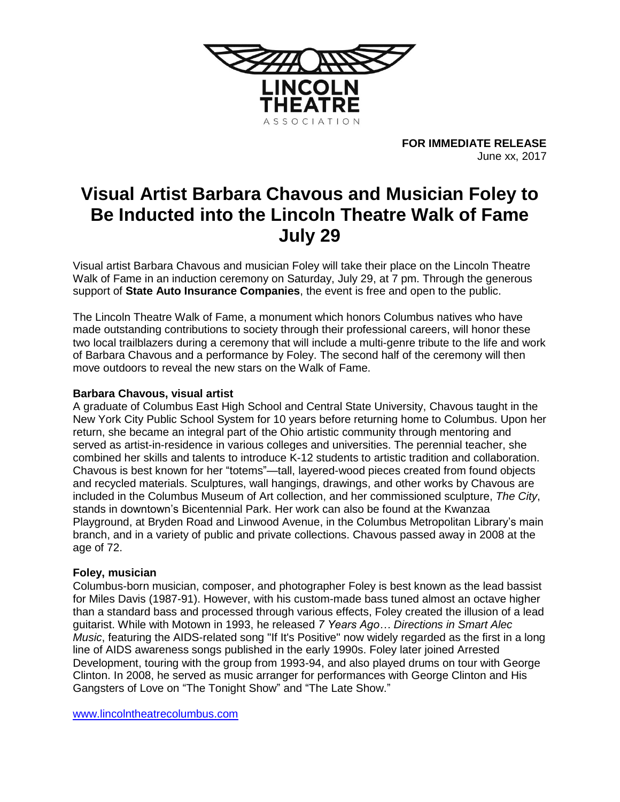

**FOR IMMEDIATE RELEASE** June xx, 2017

# **Visual Artist Barbara Chavous and Musician Foley to Be Inducted into the Lincoln Theatre Walk of Fame July 29**

Visual artist Barbara Chavous and musician Foley will take their place on the Lincoln Theatre Walk of Fame in an induction ceremony on Saturday, July 29, at 7 pm. Through the generous support of **State Auto Insurance Companies**, the event is free and open to the public.

The Lincoln Theatre Walk of Fame, a monument which honors Columbus natives who have made outstanding contributions to society through their professional careers, will honor these two local trailblazers during a ceremony that will include a multi-genre tribute to the life and work of Barbara Chavous and a performance by Foley. The second half of the ceremony will then move outdoors to reveal the new stars on the Walk of Fame.

## **Barbara Chavous, visual artist**

A graduate of Columbus East High School and Central State University, Chavous taught in the New York City Public School System for 10 years before returning home to Columbus. Upon her return, she became an integral part of the Ohio artistic community through mentoring and served as artist-in-residence in various colleges and universities. The perennial teacher, she combined her skills and talents to introduce K-12 students to artistic tradition and collaboration. Chavous is best known for her "totems"—tall, layered-wood pieces created from found objects and recycled materials. Sculptures, wall hangings, drawings, and other works by Chavous are included in the Columbus Museum of Art collection, and her commissioned sculpture, *The City*, stands in downtown's Bicentennial Park. Her work can also be found at the Kwanzaa Playground, at Bryden Road and Linwood Avenue, in the Columbus Metropolitan Library's main branch, and in a variety of public and private collections. Chavous passed away in 2008 at the age of 72.

### **Foley, musician**

Columbus-born musician, composer, and photographer Foley is best known as the lead bassist for Miles Davis (1987-91). However, with his custom-made bass tuned almost an octave higher than a standard bass and processed through various effects, Foley created the illusion of a lead guitarist. While with Motown in 1993, he released *7 Years Ago… Directions in Smart Alec Music*, featuring the AIDS-related song "If It's Positive" now widely regarded as the first in a long line of AIDS awareness songs published in the early 1990s. Foley later joined Arrested Development, touring with the group from 1993-94, and also played drums on tour with George Clinton. In 2008, he served as music arranger for performances with George Clinton and His Gangsters of Love on "The Tonight Show" and "The Late Show."

[www.lincolntheatrecolumbus.com](http://www.lincolntheatrecolumbus.com/)